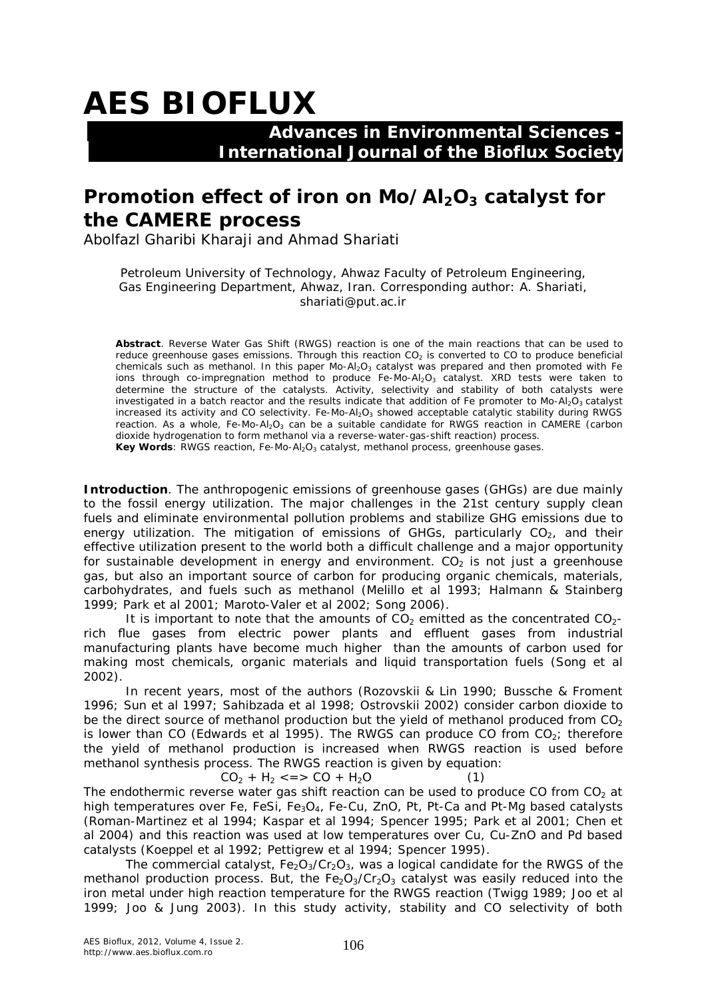## **AES BIOFLUX**

## **Advances in Environmental Sciences - International Journal of the Bioflux Society**

## **Promotion effect of iron on Mo/Al2O3 catalyst for the CAMERE process**

Abolfazl Gharibi Kharaji and Ahmad Shariati

Petroleum University of Technology, Ahwaz Faculty of Petroleum Engineering, Gas Engineering Department, Ahwaz, Iran. Corresponding author: A. Shariati, shariati@put.ac.ir

**Abstract**. Reverse Water Gas Shift (RWGS) reaction is one of the main reactions that can be used to reduce greenhouse gases emissions. Through this reaction  $CO<sub>2</sub>$  is converted to CO to produce beneficial chemicals such as methanol. In this paper Mo-Al<sub>2</sub>O<sub>3</sub> catalyst was prepared and then promoted with Fe ions through co-impregnation method to produce Fe-Mo-Al<sub>2</sub>O<sub>3</sub> catalyst. XRD tests were taken to determine the structure of the catalysts. Activity, selectivity and stability of both catalysts were investigated in a batch reactor and the results indicate that addition of Fe promoter to Mo-Al<sub>2</sub>O<sub>3</sub> catalyst increased its activity and CO selectivity. Fe-Mo-Al<sub>2</sub>O<sub>3</sub> showed acceptable catalytic stability during RWGS reaction. As a whole, Fe-Mo-Al<sub>2</sub>O<sub>3</sub> can be a suitable candidate for RWGS reaction in CAMERE (carbon dioxide hydrogenation to form methanol via a reverse-water-gas-shift reaction) process. Key Words: RWGS reaction, Fe-Mo-Al<sub>2</sub>O<sub>3</sub> catalyst, methanol process, greenhouse gases.

**Introduction**. The anthropogenic emissions of greenhouse gases (GHGs) are due mainly to the fossil energy utilization. The major challenges in the 21st century supply clean fuels and eliminate environmental pollution problems and stabilize GHG emissions due to energy utilization. The mitigation of emissions of GHGs, particularly  $CO<sub>2</sub>$ , and their effective utilization present to the world both a difficult challenge and a major opportunity for sustainable development in energy and environment.  $CO<sub>2</sub>$  is not just a greenhouse gas, but also an important source of carbon for producing organic chemicals, materials, carbohydrates, and fuels such as methanol (Melillo et al 1993; Halmann & Stainberg 1999; Park et al 2001; Maroto-Valer et al 2002; Song 2006).

It is important to note that the amounts of  $CO<sub>2</sub>$  emitted as the concentrated  $CO<sub>2</sub>$ rich flue gases from electric power plants and effluent gases from industrial manufacturing plants have become much higher than the amounts of carbon used for making most chemicals, organic materials and liquid transportation fuels (Song et al 2002).

In recent years, most of the authors (Rozovskii & Lin 1990; Bussche & Froment 1996; Sun et al 1997; Sahibzada et al 1998; Ostrovskii 2002) consider carbon dioxide to be the direct source of methanol production but the yield of methanol produced from  $CO<sub>2</sub>$ is lower than CO (Edwards et al 1995). The RWGS can produce CO from  $CO<sub>2</sub>$ ; therefore the yield of methanol production is increased when RWGS reaction is used before methanol synthesis process. The RWGS reaction is given by equation:

 $CO<sub>2</sub> + H<sub>2</sub> \leq S \leq CO + H<sub>2</sub>O$  (1) The endothermic reverse water gas shift reaction can be used to produce CO from  $CO<sub>2</sub>$  at high temperatures over Fe, FeSi,  $Fe_3O_4$ , Fe-Cu, ZnO, Pt, Pt-Ca and Pt-Mg based catalysts (Roman-Martinez et al 1994; Kaspar et al 1994; Spencer 1995; Park et al 2001; Chen et al 2004) and this reaction was used at low temperatures over Cu, Cu-ZnO and Pd based catalysts (Koeppel et al 1992; Pettigrew et al 1994; Spencer 1995).

The commercial catalyst,  $Fe<sub>2</sub>O<sub>3</sub>/Cr<sub>2</sub>O<sub>3</sub>$ , was a logical candidate for the RWGS of the methanol production process. But, the  $FeO<sub>3</sub>/Cr<sub>2</sub>O<sub>3</sub>$  catalyst was easily reduced into the iron metal under high reaction temperature for the RWGS reaction (Twigg 1989; Joo et al 1999; Joo & Jung 2003). In this study activity, stability and CO selectivity of both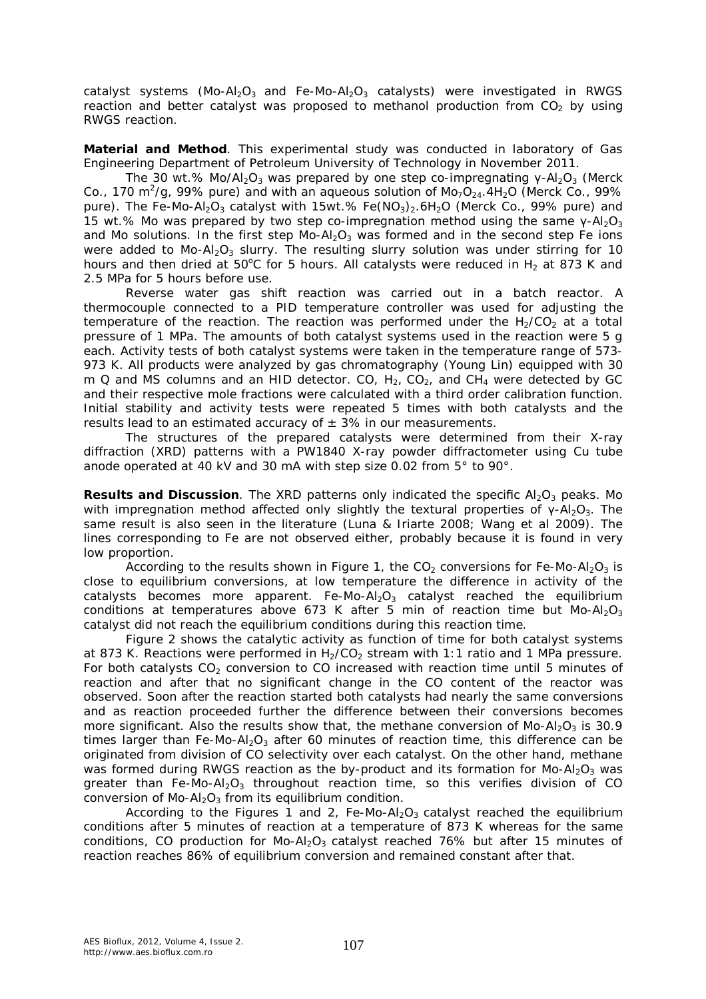catalyst systems (Mo-Al<sub>2</sub>O<sub>3</sub> and Fe-Mo-Al<sub>2</sub>O<sub>3</sub> catalysts) were investigated in RWGS reaction and better catalyst was proposed to methanol production from  $CO<sub>2</sub>$  by using RWGS reaction.

**Material and Method**. This experimental study was conducted in laboratory of Gas Engineering Department of Petroleum University of Technology in November 2011.

The 30 wt.% Mo/Al<sub>2</sub>O<sub>3</sub> was prepared by one step co-impregnating  $\gamma$ -Al<sub>2</sub>O<sub>3</sub> (Merck Co., 170 m<sup>2</sup>/g, 99% pure) and with an aqueous solution of Mo<sub>7</sub>O<sub>24</sub>.4H<sub>2</sub>O (Merck Co., 99% pure). The Fe-Mo-Al<sub>2</sub>O<sub>3</sub> catalyst with 15wt.% Fe(NO<sub>3</sub>)<sub>2</sub>.6H<sub>2</sub>O (Merck Co., 99% pure) and 15 wt.% Mo was prepared by two step co-impregnation method using the same  $\gamma$ -Al<sub>2</sub>O<sub>3</sub> and Mo solutions. In the first step Mo-Al<sub>2</sub>O<sub>3</sub> was formed and in the second step Fe ions were added to Mo-Al<sub>2</sub>O<sub>3</sub> slurry. The resulting slurry solution was under stirring for 10 hours and then dried at 50°C for 5 hours. All catalysts were reduced in  $H_2$  at 873 K and 2.5 MPa for 5 hours before use.

Reverse water gas shift reaction was carried out in a batch reactor. A thermocouple connected to a PID temperature controller was used for adjusting the temperature of the reaction. The reaction was performed under the  $H<sub>2</sub>/CO<sub>2</sub>$  at a total pressure of 1 MPa. The amounts of both catalyst systems used in the reaction were 5 g each. Activity tests of both catalyst systems were taken in the temperature range of 573- 973 K. All products were analyzed by gas chromatography (Young Lin) equipped with 30 m Q and MS columns and an HID detector. CO,  $H_2$ , CO<sub>2</sub>, and CH<sub>4</sub> were detected by GC and their respective mole fractions were calculated with a third order calibration function. Initial stability and activity tests were repeated 5 times with both catalysts and the results lead to an estimated accuracy of  $\pm$  3% in our measurements.

The structures of the prepared catalysts were determined from their X-ray diffraction (XRD) patterns with a PW1840 X-ray powder diffractometer using Cu tube anode operated at 40 kV and 30 mA with step size 0.02 from 5° to 90°.

**Results and Discussion**. The XRD patterns only indicated the specific Al<sub>2</sub>O<sub>3</sub> peaks. Mo with impregnation method affected only slightly the textural properties of  $\gamma$ -Al<sub>2</sub>O<sub>3</sub>. The same result is also seen in the literature (Luna & Iriarte 2008; Wang et al 2009). The lines corresponding to Fe are not observed either, probably because it is found in very low proportion.

According to the results shown in Figure 1, the  $CO<sub>2</sub>$  conversions for Fe-Mo-Al<sub>2</sub>O<sub>3</sub> is close to equilibrium conversions, at low temperature the difference in activity of the catalysts becomes more apparent. Fe-Mo-Al<sub>2</sub>O<sub>3</sub> catalyst reached the equilibrium conditions at temperatures above 673 K after 5 min of reaction time but  $Mo-A<sub>2</sub>O<sub>3</sub>$ catalyst did not reach the equilibrium conditions during this reaction time.

Figure 2 shows the catalytic activity as function of time for both catalyst systems at 873 K. Reactions were performed in  $H_2/CO_2$  stream with 1:1 ratio and 1 MPa pressure. For both catalysts  $CO<sub>2</sub>$  conversion to CO increased with reaction time until 5 minutes of reaction and after that no significant change in the CO content of the reactor was observed. Soon after the reaction started both catalysts had nearly the same conversions and as reaction proceeded further the difference between their conversions becomes more significant. Also the results show that, the methane conversion of Mo-Al<sub>2</sub>O<sub>3</sub> is 30.9 times larger than Fe-Mo-Al<sub>2</sub>O<sub>3</sub> after 60 minutes of reaction time, this difference can be originated from division of CO selectivity over each catalyst. On the other hand, methane was formed during RWGS reaction as the by-product and its formation for Mo-Al<sub>2</sub>O<sub>3</sub> was greater than Fe-Mo-Al<sub>2</sub>O<sub>3</sub> throughout reaction time, so this verifies division of CO conversion of  $Mo-Al<sub>2</sub>O<sub>3</sub>$  from its equilibrium condition.

According to the Figures 1 and 2, Fe-Mo-Al<sub>2</sub>O<sub>3</sub> catalyst reached the equilibrium conditions after 5 minutes of reaction at a temperature of 873 K whereas for the same conditions, CO production for Mo-Al<sub>2</sub>O<sub>3</sub> catalyst reached 76% but after 15 minutes of reaction reaches 86% of equilibrium conversion and remained constant after that.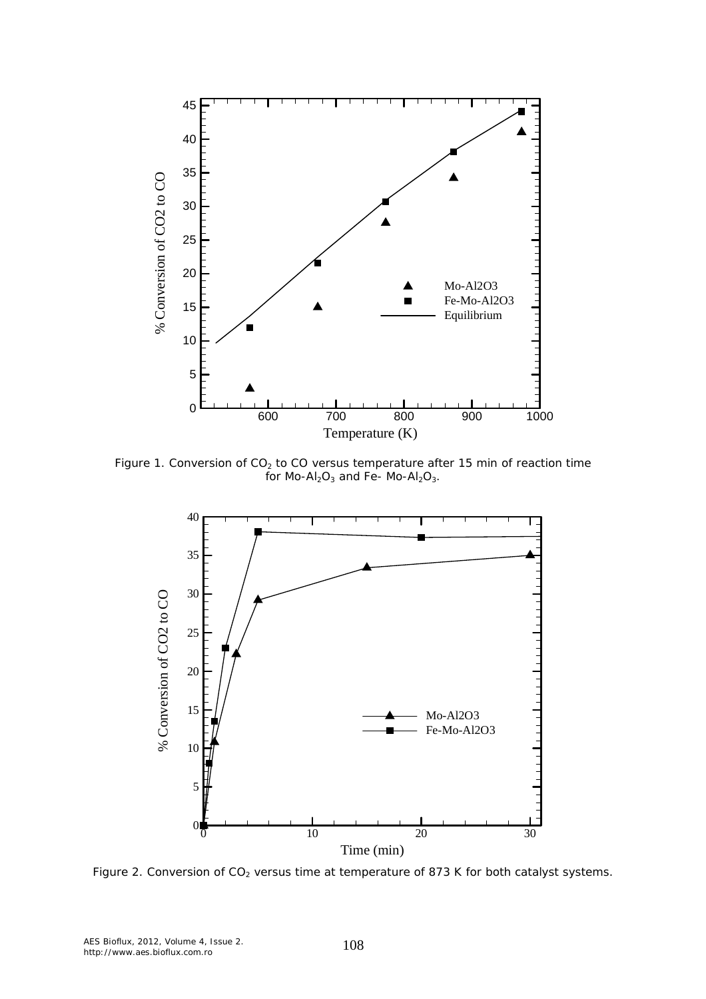

Figure 1. Conversion of  $CO<sub>2</sub>$  to CO versus temperature after 15 min of reaction time for  $Mo-AI_2O_3$  and Fe-  $Mo-AI_2O_3$ .



Figure 2. Conversion of  $CO<sub>2</sub>$  versus time at temperature of 873 K for both catalyst systems.

AES Bioflux, 2012, Volume 4, Issue 2. AES Bioflux, 2012, Volume 4, Issue 2. 108<br>http://www.aes.bioflux.com.ro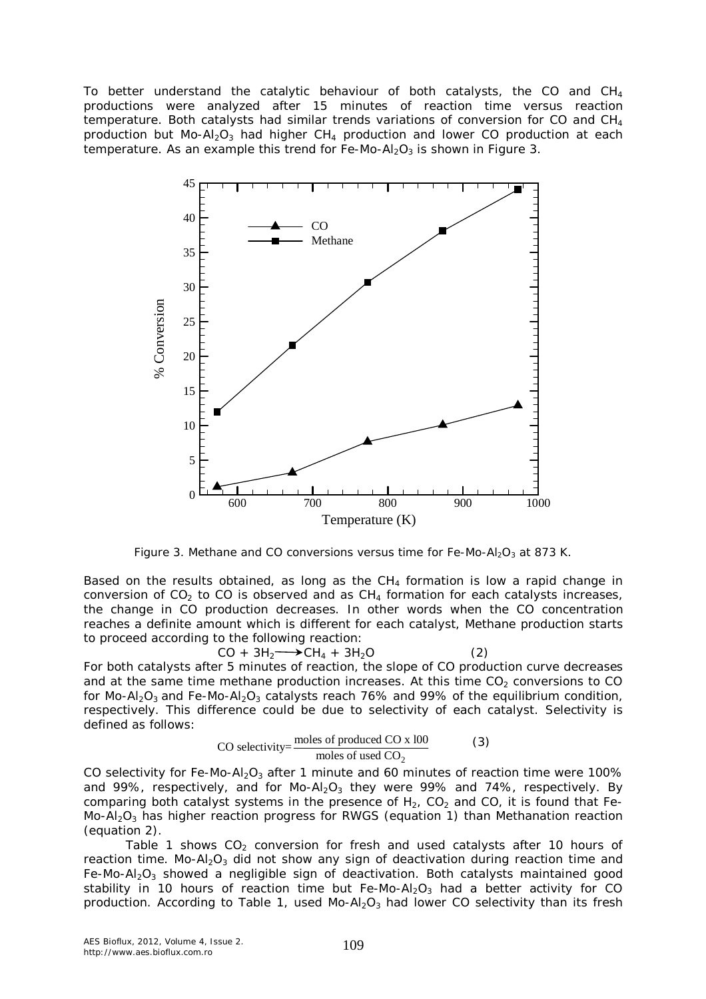To better understand the catalytic behaviour of both catalysts, the CO and  $CH<sub>4</sub>$ productions were analyzed after 15 minutes of reaction time versus reaction temperature. Both catalysts had similar trends variations of conversion for CO and CH<sup>4</sup> production but Mo-Al<sub>2</sub>O<sub>3</sub> had higher CH<sub>4</sub> production and lower CO production at each temperature. As an example this trend for Fe-Mo-Al<sub>2</sub>O<sub>3</sub> is shown in Figure 3.



Figure 3. Methane and CO conversions versus time for Fe-Mo-Al<sub>2</sub>O<sub>3</sub> at 873 K.

Based on the results obtained, as long as the  $CH_4$  formation is low a rapid change in conversion of  $CO<sub>2</sub>$  to CO is observed and as  $CH<sub>4</sub>$  formation for each catalysts increases, the change in CO production decreases. In other words when the CO concentration reaches a definite amount which is different for each catalyst, Methane production starts to proceed according to the following reaction:

 $CO + 3H_2 \longrightarrow CH_4 + 3H_2O$  (2) For both catalysts after 5 minutes of reaction, the slope of CO production curve decreases and at the same time methane production increases. At this time  $CO<sub>2</sub>$  conversions to CO for Mo-Al<sub>2</sub>O<sub>3</sub> and Fe-Mo-Al<sub>2</sub>O<sub>3</sub> catalysts reach 76% and 99% of the equilibrium condition, respectively. This difference could be due to selectivity of each catalyst. Selectivity is defined as follows:

CO selectivity=
$$
\frac{\text{moles of produced CO} \times 100}{\text{moles of used CO}_2}
$$
 (3)

CO selectivity for Fe-Mo-Al<sub>2</sub>O<sub>3</sub> after 1 minute and 60 minutes of reaction time were 100% and 99%, respectively, and for  $Mo-Al<sub>2</sub>O<sub>3</sub>$  they were 99% and 74%, respectively. By comparing both catalyst systems in the presence of  $H_2$ , CO<sub>2</sub> and CO, it is found that Fe-Mo-Al<sub>2</sub>O<sub>3</sub> has higher reaction progress for RWGS (equation 1) than Methanation reaction (equation 2).

Table 1 shows  $CO<sub>2</sub>$  conversion for fresh and used catalysts after 10 hours of reaction time. Mo-Al<sub>2</sub>O<sub>3</sub> did not show any sign of deactivation during reaction time and Fe-Mo-Al<sub>2</sub>O<sub>3</sub> showed a negligible sign of deactivation. Both catalysts maintained good stability in 10 hours of reaction time but Fe-Mo-Al<sub>2</sub>O<sub>3</sub> had a better activity for CO production. According to Table 1, used Mo-Al<sub>2</sub>O<sub>3</sub> had lower CO selectivity than its fresh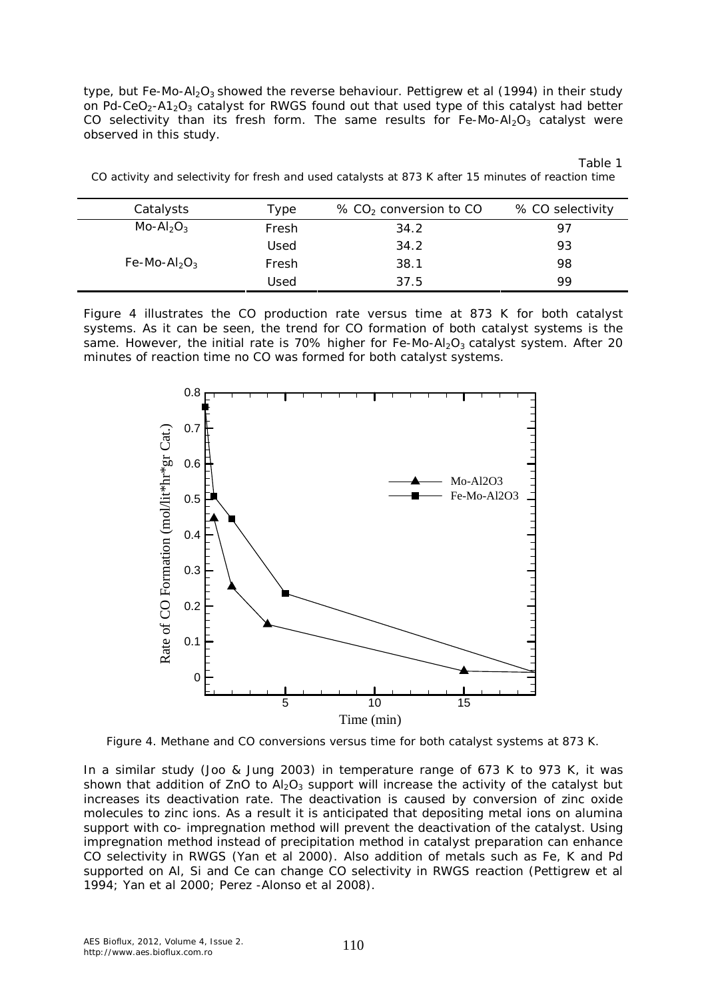type, but Fe-Mo-Al<sub>2</sub>O<sub>3</sub> showed the reverse behaviour. Pettigrew et al (1994) in their study on Pd-CeO<sub>2</sub>-A1<sub>2</sub>O<sub>3</sub> catalyst for RWGS found out that used type of this catalyst had better CO selectivity than its fresh form. The same results for Fe-Mo-Al<sub>2</sub>O<sub>3</sub> catalyst were observed in this study.

Table 1

|  |  |  | CO activity and selectivity for fresh and used catalysts at 873 K after 15 minutes of reaction time |
|--|--|--|-----------------------------------------------------------------------------------------------------|
|  |  |  |                                                                                                     |

| Catalysts                            | Type  | $\%$ CO <sub>2</sub> conversion to CO | % CO selectivity |
|--------------------------------------|-------|---------------------------------------|------------------|
| $Mo-Al2O3$                           | Fresh | 34.2                                  | 97               |
|                                      | Used  | 34.2                                  | 93               |
| Fe-Mo-Al <sub>2</sub> O <sub>3</sub> | Fresh | 38.1                                  | 98               |
|                                      | Used  | 37.5                                  | 99               |

Figure 4 illustrates the CO production rate versus time at 873 K for both catalyst systems. As it can be seen, the trend for CO formation of both catalyst systems is the same. However, the initial rate is 70% higher for Fe-Mo-Al<sub>2</sub>O<sub>3</sub> catalyst system. After 20 minutes of reaction time no CO was formed for both catalyst systems.



Figure 4. Methane and CO conversions versus time for both catalyst systems at 873 K.

In a similar study (Joo & Jung 2003) in temperature range of 673 K to 973 K, it was shown that addition of  $ZnO$  to  $Al_2O_3$  support will increase the activity of the catalyst but increases its deactivation rate. The deactivation is caused by conversion of zinc oxide molecules to zinc ions. As a result it is anticipated that depositing metal ions on alumina support with co- impregnation method will prevent the deactivation of the catalyst. Using impregnation method instead of precipitation method in catalyst preparation can enhance CO selectivity in RWGS (Yan et al 2000). Also addition of metals such as Fe, K and Pd supported on Al, Si and Ce can change CO selectivity in RWGS reaction (Pettigrew et al 1994; Yan et al 2000; Perez -Alonso et al 2008).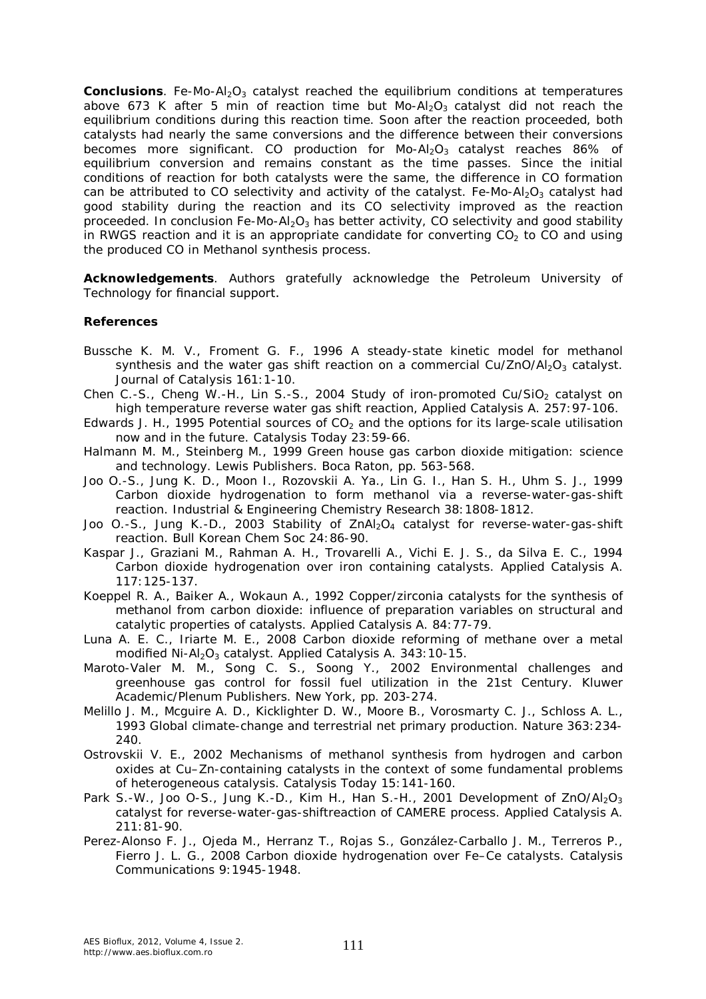**Conclusions**. Fe-Mo-Al<sub>2</sub>O<sub>3</sub> catalyst reached the equilibrium conditions at temperatures above 673 K after 5 min of reaction time but Mo-Al<sub>2</sub>O<sub>3</sub> catalyst did not reach the equilibrium conditions during this reaction time. Soon after the reaction proceeded, both catalysts had nearly the same conversions and the difference between their conversions becomes more significant. CO production for Mo-Al<sub>2</sub>O<sub>3</sub> catalyst reaches 86% of equilibrium conversion and remains constant as the time passes. Since the initial conditions of reaction for both catalysts were the same, the difference in CO formation can be attributed to CO selectivity and activity of the catalyst. Fe-Mo-Al<sub>2</sub>O<sub>3</sub> catalyst had good stability during the reaction and its CO selectivity improved as the reaction proceeded. In conclusion Fe-Mo-Al<sub>2</sub>O<sub>3</sub> has better activity, CO selectivity and good stability in RWGS reaction and it is an appropriate candidate for converting  $CO<sub>2</sub>$  to CO and using the produced CO in Methanol synthesis process.

**Acknowledgements**. Authors gratefully acknowledge the Petroleum University of Technology for financial support.

## **References**

- Bussche K. M. V., Froment G. F., 1996 A steady-state kinetic model for methanol synthesis and the water gas shift reaction on a commercial Cu/ZnO/Al<sub>2</sub>O<sub>3</sub> catalyst. Journal of Catalysis 161:1-10.
- Chen C.-S., Cheng W.-H., Lin S.-S., 2004 Study of iron-promoted Cu/SiO<sub>2</sub> catalyst on high temperature reverse water gas shift reaction, Applied Catalysis A. 257:97-106.
- Edwards J. H., 1995 Potential sources of  $CO<sub>2</sub>$  and the options for its large-scale utilisation now and in the future. Catalysis Today 23:59-66.
- Halmann M. M., Steinberg M., 1999 Green house gas carbon dioxide mitigation: science and technology. Lewis Publishers. Boca Raton, pp. 563-568.
- Joo O.-S., Jung K. D., Moon I., Rozovskii A. Ya., Lin G. I., Han S. H., Uhm S. J., 1999 Carbon dioxide hydrogenation to form methanol via a reverse-water-gas-shift reaction. Industrial & Engineering Chemistry Research 38:1808-1812.
- Joo O.-S., Jung K.-D., 2003 Stability of  $ZnAl<sub>2</sub>O<sub>4</sub>$  catalyst for reverse-water-gas-shift reaction. Bull Korean Chem Soc 24:86-90.
- Kaspar J., Graziani M., Rahman A. H., Trovarelli A., Vichi E. J. S., da Silva E. C., 1994 Carbon dioxide hydrogenation over iron containing catalysts. Applied Catalysis A. 117:125-137.
- Koeppel R. A., Baiker A., Wokaun A., 1992 Copper/zirconia catalysts for the synthesis of methanol from carbon dioxide: influence of preparation variables on structural and catalytic properties of catalysts. Applied Catalysis A. 84:77-79.
- Luna A. E. C., Iriarte M. E., 2008 Carbon dioxide reforming of methane over a metal modified Ni-Al<sub>2</sub>O<sub>3</sub> catalyst. Applied Catalysis A. 343:10-15.
- Maroto-Valer M. M., Song C. S., Soong Y., 2002 Environmental challenges and greenhouse gas control for fossil fuel utilization in the 21st Century. Kluwer Academic/Plenum Publishers. New York, pp. 203-274.
- Melillo J. M., Mcguire A. D., Kicklighter D. W., Moore B., Vorosmarty C. J., Schloss A. L., 1993 Global climate-change and terrestrial net primary production. Nature 363:234- 240.
- Ostrovskii V. E., 2002 Mechanisms of methanol synthesis from hydrogen and carbon oxides at Cu–Zn-containing catalysts in the context of some fundamental problems of heterogeneous catalysis. Catalysis Today 15:141-160.
- Park S.-W., Joo O-S., Jung K.-D., Kim H., Han S.-H., 2001 Development of ZnO/Al<sub>2</sub>O<sub>3</sub> catalyst for reverse-water-gas-shiftreaction of CAMERE process. Applied Catalysis A. 211:81-90.
- Perez-Alonso F. J., Ojeda M., Herranz T., Rojas S., González-Carballo J. M., Terreros P., Fierro J. L. G., 2008 Carbon dioxide hydrogenation over Fe–Ce catalysts. Catalysis Communications 9:1945-1948.